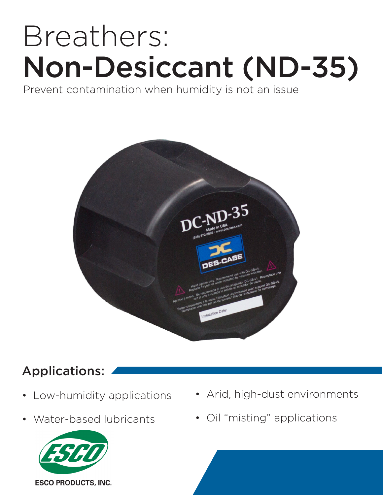# Breathers: Non-Desiccant (ND-35)

Prevent contamination when humidity is not an issue



## Applications:

- Low-humidity applications
- Water-based lubricants



- Arid, high-dust environments
- Oil "misting" applications